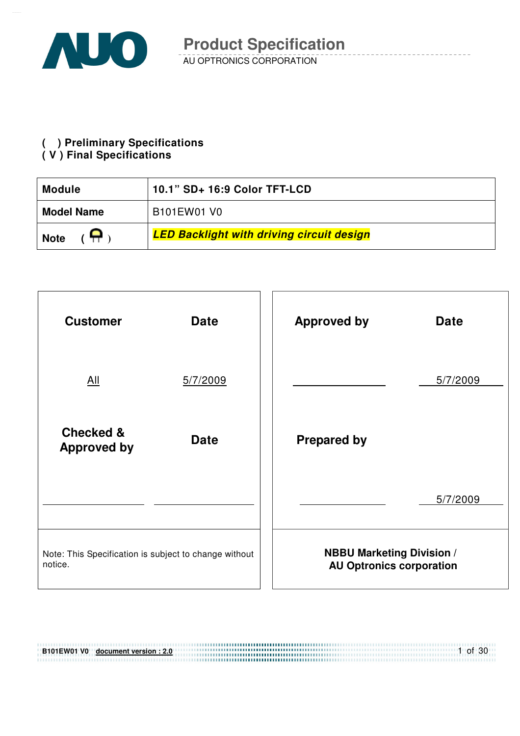

**( ) Preliminary Specifications** 

#### **( V ) Final Specifications**

| 10.1" SD+ 16:9 Color TFT-LCD<br><b>Module</b> |                                                  |  |  |
|-----------------------------------------------|--------------------------------------------------|--|--|
| <b>Model Name</b>                             | B <sub>101</sub> EW <sub>01</sub> V <sub>0</sub> |  |  |
| <b>Note</b>                                   | <b>LED Backlight with driving circuit design</b> |  |  |



| B101EW01 V0 document version: 2.0 | $\circ$ of 30 |
|-----------------------------------|---------------|
|                                   |               |
|                                   |               |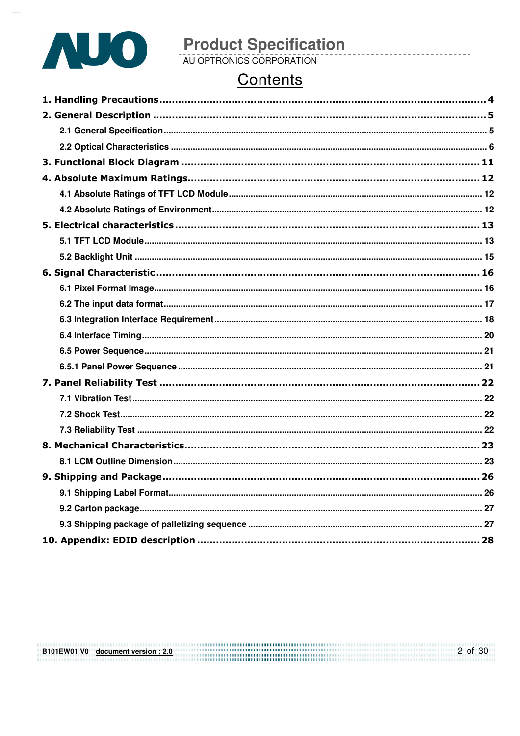

# **Product Specification**<br>AU OPTRONICS CORPORATION

# Contents

B101EW01 V0 document version : 2.0  $2$  of 30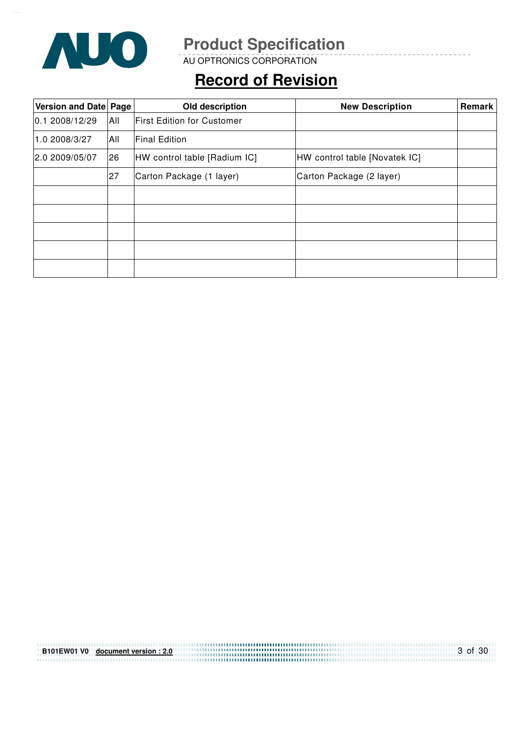

AU OPTRONICS CORPORATION

# **Record of Revision**

| Version and Date Page<br>Old description |                                    |                                    | <b>New Description</b>        | Remark |
|------------------------------------------|------------------------------------|------------------------------------|-------------------------------|--------|
| 0.1 2008/12/29                           | All                                | <b>IFirst Edition for Customer</b> |                               |        |
| 1.0 2008/3/27                            | All                                | <b>Final Edition</b>               |                               |        |
| 2.0 2009/05/07                           | 26<br>HW control table [Radium IC] |                                    | HW control table [Novatek IC] |        |
|                                          | 27                                 | Carton Package (1 layer)           | Carton Package (2 layer)      |        |
|                                          |                                    |                                    |                               |        |
|                                          |                                    |                                    |                               |        |
|                                          |                                    |                                    |                               |        |
|                                          |                                    |                                    |                               |        |
|                                          |                                    |                                    |                               |        |

| B101EW01 V0 document version: 2.0 | 3 of 30 |
|-----------------------------------|---------|
|                                   |         |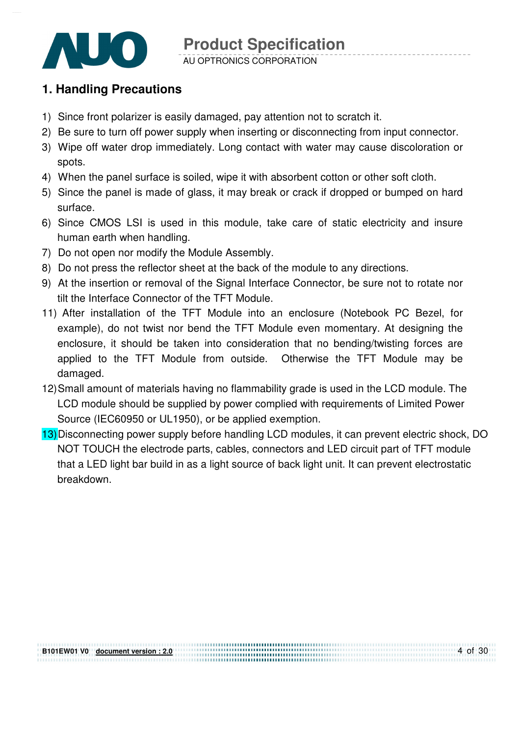

AU OPTRONICS CORPORATION

### **1. Handling Precautions**

- 1) Since front polarizer is easily damaged, pay attention not to scratch it.
- 2) Be sure to turn off power supply when inserting or disconnecting from input connector.
- 3) Wipe off water drop immediately. Long contact with water may cause discoloration or spots.
- 4) When the panel surface is soiled, wipe it with absorbent cotton or other soft cloth.
- 5) Since the panel is made of glass, it may break or crack if dropped or bumped on hard surface.
- 6) Since CMOS LSI is used in this module, take care of static electricity and insure human earth when handling.
- 7) Do not open nor modify the Module Assembly.
- 8) Do not press the reflector sheet at the back of the module to any directions.
- 9) At the insertion or removal of the Signal Interface Connector, be sure not to rotate nor tilt the Interface Connector of the TFT Module.
- 11) After installation of the TFT Module into an enclosure (Notebook PC Bezel, for example), do not twist nor bend the TFT Module even momentary. At designing the enclosure, it should be taken into consideration that no bending/twisting forces are applied to the TFT Module from outside. Otherwise the TFT Module may be damaged.
- 12) Small amount of materials having no flammability grade is used in the LCD module. The LCD module should be supplied by power complied with requirements of Limited Power Source (IEC60950 or UL1950), or be applied exemption.
- 13) Disconnecting power supply before handling LCD modules, it can prevent electric shock, DO NOT TOUCH the electrode parts, cables, connectors and LED circuit part of TFT module that a LED light bar build in as a light source of back light unit. It can prevent electrostatic breakdown.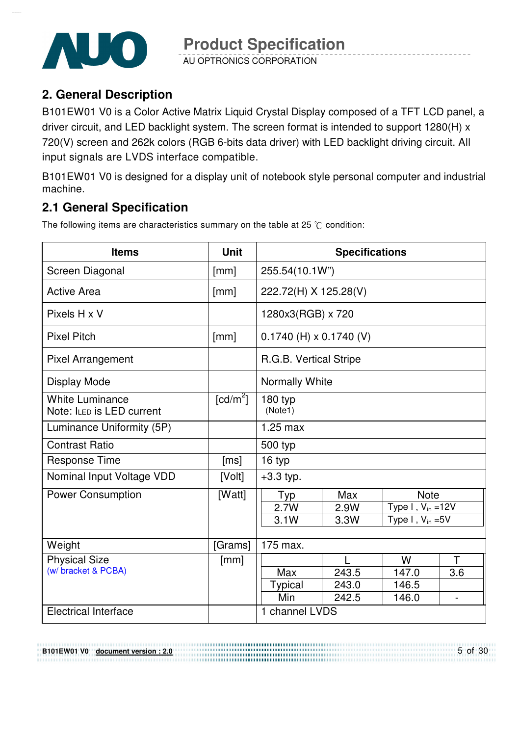

AU OPTRONICS CORPORATION

### **2. General Description**

B101EW01 V0 is a Color Active Matrix Liquid Crystal Display composed of a TFT LCD panel, a driver circuit, and LED backlight system. The screen format is intended to support 1280(H) x 720(V) screen and 262k colors (RGB 6-bits data driver) with LED backlight driving circuit. All input signals are LVDS interface compatible.

B101EW01 V0 is designed for a display unit of notebook style personal computer and industrial machine.

### **2.1 General Specification**

The following items are characteristics summary on the table at 25  $\degree$ C condition:

| <b>Items</b>                                        | <b>Unit</b>          | <b>Specifications</b>                 |                |                          |                |  |
|-----------------------------------------------------|----------------------|---------------------------------------|----------------|--------------------------|----------------|--|
| Screen Diagonal                                     | [mm]                 |                                       | 255.54(10.1W") |                          |                |  |
| <b>Active Area</b>                                  | [mm]                 | 222.72(H) X 125.28(V)                 |                |                          |                |  |
| Pixels H x V                                        |                      | 1280x3(RGB) x 720                     |                |                          |                |  |
| <b>Pixel Pitch</b>                                  | [mm]                 | $0.1740$ (H) x $0.1740$ (V)           |                |                          |                |  |
| <b>Pixel Arrangement</b>                            |                      | R.G.B. Vertical Stripe                |                |                          |                |  |
| Display Mode                                        |                      | Normally White                        |                |                          |                |  |
| <b>White Luminance</b><br>Note: ILED is LED current | [cd/m <sup>2</sup> ] | 180 typ<br>(Note1)                    |                |                          |                |  |
| Luminance Uniformity (5P)                           |                      | $1.25$ max                            |                |                          |                |  |
| <b>Contrast Ratio</b>                               |                      | 500 typ                               |                |                          |                |  |
| <b>Response Time</b>                                | [ms]                 | 16 typ                                |                |                          |                |  |
| Nominal Input Voltage VDD                           | [Volt]               | $+3.3$ typ.                           |                |                          |                |  |
| <b>Power Consumption</b>                            | [Watt]               | Typ                                   | Max            | <b>Note</b>              |                |  |
|                                                     |                      | 2.7W                                  | 2.9W           | Type $I$ , $V_{in}$ =12V |                |  |
|                                                     |                      | Type I, $V_{in} = 5V$<br>3.1W<br>3.3W |                |                          |                |  |
|                                                     |                      |                                       |                |                          |                |  |
| Weight                                              | [Grams]              | 175 max.                              |                |                          |                |  |
| <b>Physical Size</b>                                | [mm]                 |                                       |                | W                        | T              |  |
| (w/ bracket & PCBA)                                 |                      | Max                                   | 243.5          | 147.0                    | 3.6            |  |
|                                                     |                      | <b>Typical</b>                        | 243.0          | 146.5                    |                |  |
|                                                     |                      | Min                                   | 242.5          | 146.0                    | $\blacksquare$ |  |
| <b>Electrical Interface</b>                         |                      | 1 channel LVDS                        |                |                          |                |  |

**B101EW01 V0 document version : 2.0**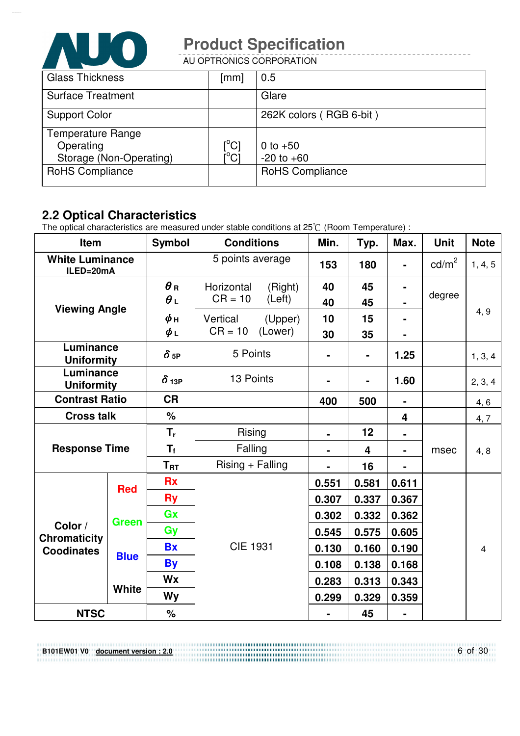

AU OPTRONICS CORPORATION

| <b>Glass Thickness</b>   | $\lceil mm \rceil$              | 0.5                     |
|--------------------------|---------------------------------|-------------------------|
| <b>Surface Treatment</b> |                                 | Glare                   |
| <b>Support Color</b>     |                                 | 262K colors (RGB 6-bit) |
| <b>Temperature Range</b> |                                 |                         |
| Operating                | $\rm \left[^{^{\circ}C}\right]$ | 0 to $+50$              |
| Storage (Non-Operating)  |                                 | $-20$ to $+60$          |
| <b>RoHS Compliance</b>   |                                 | <b>RoHS Compliance</b>  |
|                          |                                 |                         |

#### **2.2 Optical Characteristics**

**B101EW01 V0 document version : 2.0**

The optical characteristics are measured under stable conditions at 25 $\degree$  (Room Temperature) :

| Item                                                |              | <b>Symbol</b>            | <b>Conditions</b>                            | Min.           | Typ.                    | Max.           | <b>Unit</b>     | <b>Note</b>    |  |
|-----------------------------------------------------|--------------|--------------------------|----------------------------------------------|----------------|-------------------------|----------------|-----------------|----------------|--|
| <b>White Luminance</b><br>ILED=20mA                 |              |                          | 5 points average                             | 153            | 180                     | $\blacksquare$ | $\text{cd/m}^2$ | 1, 4, 5        |  |
|                                                     |              | $\theta$ R<br>$\theta$ L | Horizontal<br>(Right)<br>$CR = 10$<br>(Left) | 40<br>40       | 45<br>45                | $\blacksquare$ | degree          |                |  |
| <b>Viewing Angle</b>                                |              | $\phi$ н<br>$\phi_L$     | Vertical<br>(Upper)<br>$CR = 10$<br>(Lower)  | 10<br>30       | 15<br>35                | $\blacksquare$ |                 | 4, 9           |  |
| Luminance<br><b>Uniformity</b>                      |              | $\delta$ <sub>5P</sub>   | 5 Points                                     | $\blacksquare$ | $\blacksquare$          | 1.25           |                 | 1, 3, 4        |  |
| Luminance<br><b>Uniformity</b>                      |              | $\delta$ 13P             | 13 Points                                    | $\blacksquare$ | Ξ.                      | 1.60           |                 | 2, 3, 4        |  |
| <b>Contrast Ratio</b>                               |              | <b>CR</b>                |                                              | 400            | 500                     | $\blacksquare$ |                 | 4, 6           |  |
| <b>Cross talk</b>                                   |              | $\frac{1}{2}$            |                                              |                |                         | 4              |                 | 4, 7           |  |
|                                                     |              | $T_{r}$                  | Rising                                       | $\blacksquare$ | 12                      |                |                 |                |  |
| <b>Response Time</b>                                |              | $T_f$                    | Falling                                      |                | $\overline{\mathbf{4}}$ | ۰              | msec            | 4, 8           |  |
|                                                     |              | $T_{\rm RT}$             | $Rising + Falling$                           |                | 16                      |                |                 |                |  |
| <b>Red</b>                                          |              | <b>Rx</b>                |                                              | 0.551          | 0.581                   | 0.611          |                 |                |  |
|                                                     |              | <b>Ry</b>                |                                              | 0.307          | 0.337                   | 0.367          |                 |                |  |
|                                                     | <b>Green</b> | Gx                       |                                              | 0.302          | 0.332                   | 0.362          |                 |                |  |
| Color /<br><b>Chromaticity</b><br><b>Coodinates</b> |              | Gy                       |                                              | 0.545          | 0.575                   | 0.605          |                 |                |  |
|                                                     | <b>Blue</b>  | <b>Bx</b>                | <b>CIE 1931</b>                              | 0.130          | 0.160                   | 0.190          |                 | $\overline{4}$ |  |
|                                                     |              | <b>By</b>                |                                              | 0.108          | 0.138                   | 0.168          |                 |                |  |
|                                                     |              | <b>Wx</b>                |                                              | 0.283          | 0.313                   | 0.343          |                 |                |  |
|                                                     | <b>White</b> | Wy                       |                                              | 0.299          | 0.329                   | 0.359          |                 |                |  |
| <b>NTSC</b>                                         |              | $\%$                     |                                              | $\blacksquare$ | 45                      | $\blacksquare$ |                 |                |  |

6 of 30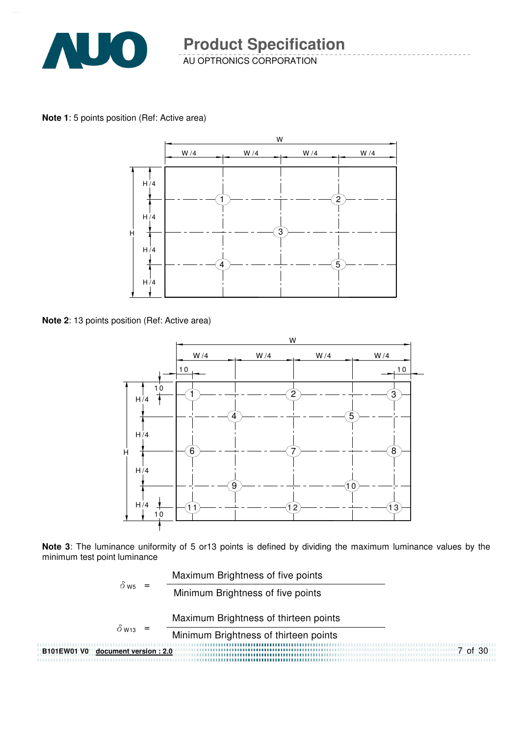

AU OPTRONICS CORPORATION

**Note 1**: 5 points position (Ref: Active area)



**Note 2**: 13 points position (Ref: Active area)



**Note 3**: The luminance uniformity of 5 or13 points is defined by dividing the maximum luminance values by the minimum test point luminance

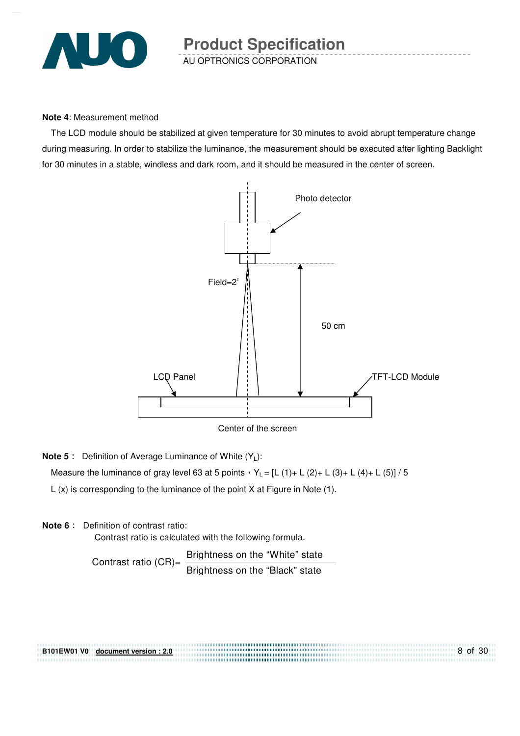

#### **Note 4**: Measurement method

The LCD module should be stabilized at given temperature for 30 minutes to avoid abrupt temperature change during measuring. In order to stabilize the luminance, the measurement should be executed after lighting Backlight for 30 minutes in a stable, windless and dark room, and it should be measured in the center of screen.



Center of the screen

**Note 5** : Definition of Average Luminance of White (Y<sub>L</sub>):

Measure the luminance of gray level 63 at 5 points  $Y_L = [L (1) + L (2) + L (3) + L (4) + L (5)] / 5$ 

L (x) is corresponding to the luminance of the point X at Figure in Note (1).

#### **Note 6** : Definition of contrast ratio:

Contrast ratio is calculated with the following formula.

Contrast ratio  $(CR)$ = Brightness on the "White" state Brightness on the "Black" state

8 of 30 **B101EW01 V0 document version : 2.0**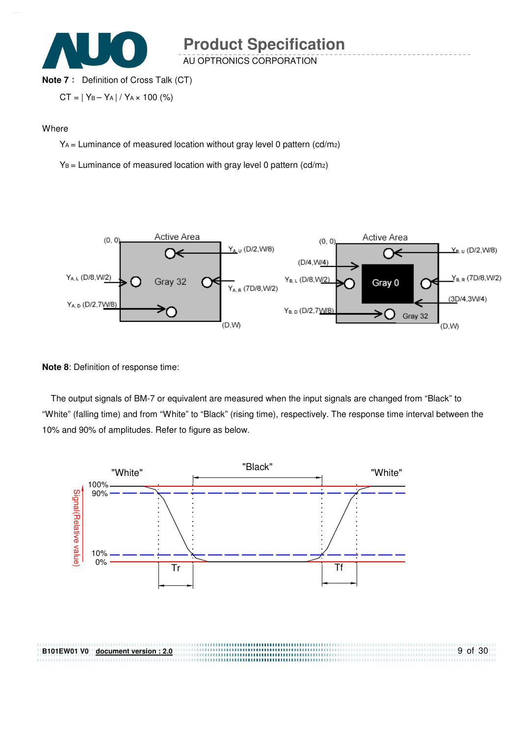

AU OPTRONICS CORPORATION

#### **Note 7** : Definition of Cross Talk (CT)

$$
CT = | Y_B - Y_A | / Y_A \times 100 (%)
$$

#### **Where**

YA = Luminance of measured location without gray level 0 pattern (cd/m2)

 $Y_B$  = Luminance of measured location with gray level 0 pattern (cd/m2)



#### **Note 8**: Definition of response time:

**B101EW01 V0 document version : 2.0**

The output signals of BM-7 or equivalent are measured when the input signals are changed from "Black" to "White" (falling time) and from "White" to "Black" (rising time), respectively. The response time interval between the 10% and 90% of amplitudes. Refer to figure as below.

9 of 30

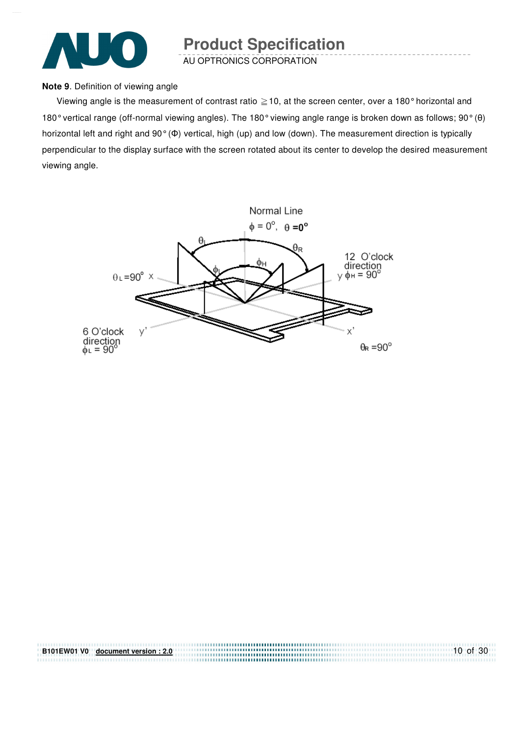

AU OPTRONICS CORPORATION

#### **Note 9**. Definition of viewing angle

Viewing angle is the measurement of contrast ratio  $\geq$  10, at the screen center, over a 180° horizontal and 180° vertical range (off-normal viewing angles). The 180° viewing angle range is broken down as follows; 90° (θ) horizontal left and right and 90° (Φ) vertical, high (up) and low (down). The measurement direction is typically perpendicular to the display surface with the screen rotated about its center to develop the desired measurement viewing angle.



| B101EW01 V0 document version: 2.0 | $10$ of 30 |
|-----------------------------------|------------|
|                                   |            |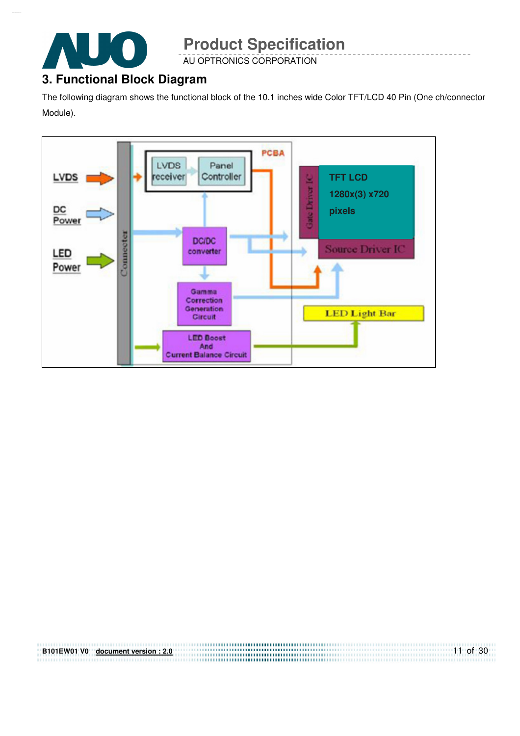

AU OPTRONICS CORPORATION

# **3. Functional Block Diagram**

The following diagram shows the functional block of the 10.1 inches wide Color TFT/LCD 40 Pin (One ch/connector Module).



| B101EW01 V0 document version: 2.0 | $11$ of 30 |
|-----------------------------------|------------|
|                                   |            |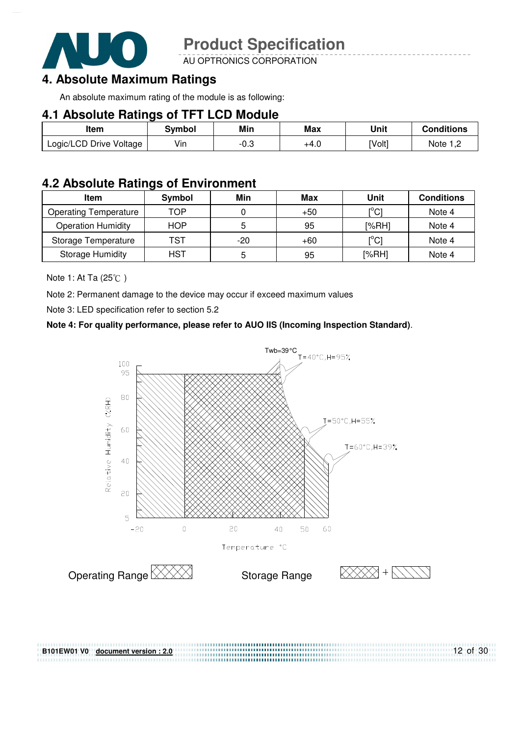

AU OPTRONICS CORPORATION

#### **4. Absolute Maximum Ratings**

An absolute maximum rating of the module is as following:

#### **4.1 Absolute Ratings of TFT LCD Module**

| Item                    | Svmbol | Min  | Max  | Unit   | <b>Conditions</b> |
|-------------------------|--------|------|------|--------|-------------------|
| Logic/LCD Drive Voltage | Vin    | ن.∪- | +4.0 | [Volt] | Note $1,2$        |

#### **4.2 Absolute Ratings of Environment**

| <b>Item</b>                  | Symbol     | Min | Max   | Unit                                    | <b>Conditions</b> |
|------------------------------|------------|-----|-------|-----------------------------------------|-------------------|
| <b>Operating Temperature</b> | TOP        |     | $+50$ | [°C]                                    | Note 4            |
| <b>Operation Humidity</b>    | <b>HOP</b> |     | 95    | [%RH]                                   | Note 4            |
| Storage Temperature          | TST        | -20 | $+60$ | $\mathsf{I}^\circ\mathsf{C} \mathsf{I}$ | Note 4            |
| <b>Storage Humidity</b>      | <b>HST</b> |     | 95    | [%RH]                                   | Note 4            |

Note 1: At Ta  $(25^{\circ}\text{C})$ 

Note 2: Permanent damage to the device may occur if exceed maximum values

Note 3: LED specification refer to section 5.2

**B101EW01 V0 document version : 2.0**

#### **Note 4: For quality performance, please refer to AUO IIS (Incoming Inspection Standard)**.



12 of 30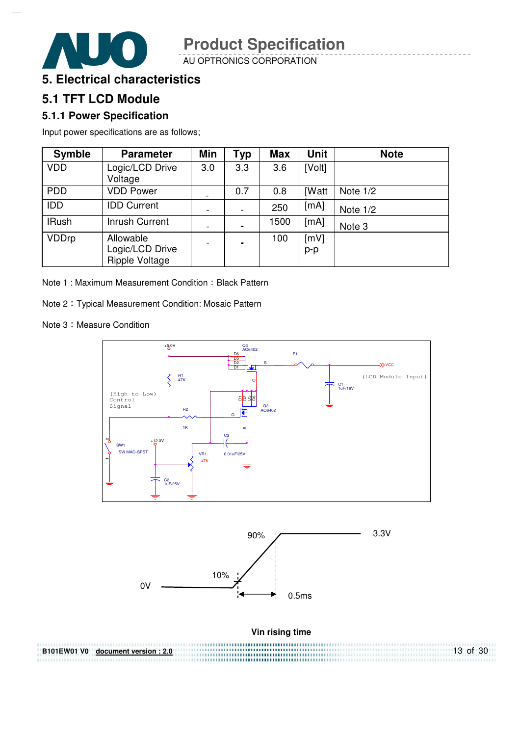AU OPTRONICS CORPORATION



### **5.1 TFT LCD Module**

#### **5.1.1 Power Specification**

Input power specifications are as follows;

| <b>Symble</b> | <b>Parameter</b>                                      | Min | <b>Typ</b>     | <b>Max</b> | <b>Unit</b>  | <b>Note</b> |
|---------------|-------------------------------------------------------|-----|----------------|------------|--------------|-------------|
| <b>VDD</b>    | Logic/LCD Drive<br>Voltage                            | 3.0 | 3.3            | 3.6        | [Volt]       |             |
| <b>PDD</b>    | <b>VDD Power</b>                                      |     | 0.7            | 0.8        | <b>[Watt</b> | Note $1/2$  |
| <b>IDD</b>    | <b>IDD Current</b>                                    |     |                | 250        | [mA]         | Note $1/2$  |
| <b>IRush</b>  | <b>Inrush Current</b>                                 |     | $\blacksquare$ | 1500       | [mA]         | Note 3      |
| <b>VDDrp</b>  | Allowable<br>Logic/LCD Drive<br><b>Ripple Voltage</b> |     | $\blacksquare$ | 100        | [mV]<br>p-p  |             |

Note 1: Maximum Measurement Condition: Black Pattern

Note 2 Typical Measurement Condition: Mosaic Pattern

Note 3: Measure Condition



13 of 30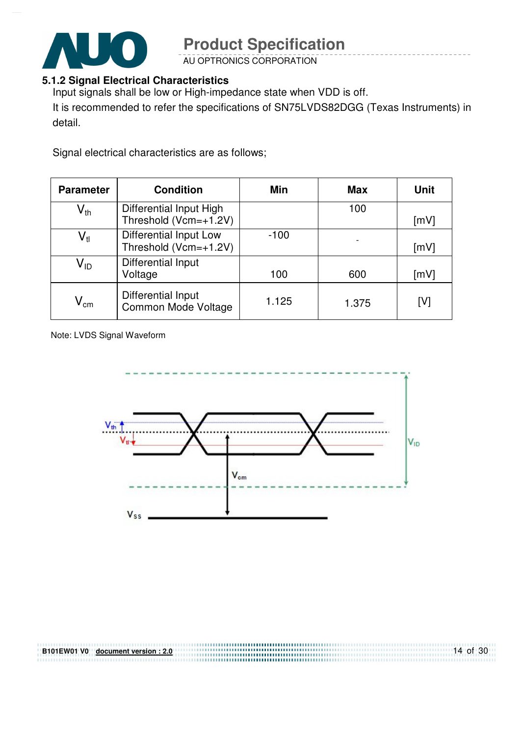

AU OPTRONICS CORPORATION

#### **5.1.2 Signal Electrical Characteristics**

Input signals shall be low or High-impedance state when VDD is off.

It is recommended to refer the specifications of SN75LVDS82DGG (Texas Instruments) in detail.

Signal electrical characteristics are as follows;

| <b>Parameter</b>           | <b>Condition</b>                                 | Min    | <b>Max</b> | <b>Unit</b> |
|----------------------------|--------------------------------------------------|--------|------------|-------------|
| $\mathsf{V}_{\mathsf{th}}$ | Differential Input High<br>Threshold (Vcm=+1.2V) |        | 100        | [mV]        |
| $\mathsf{V}_{\mathsf{tl}}$ | Differential Input Low<br>Threshold (Vcm=+1.2V)  | $-100$ |            | [mV]        |
| V <sub>ID</sub>            | Differential Input<br>Voltage                    | 100    | 600        | [mV]        |
| $\mathsf{V}_{\mathsf{cm}}$ | Differential Input<br>Common Mode Voltage        | 1.125  | 1.375      | [V]         |

Note: LVDS Signal Waveform

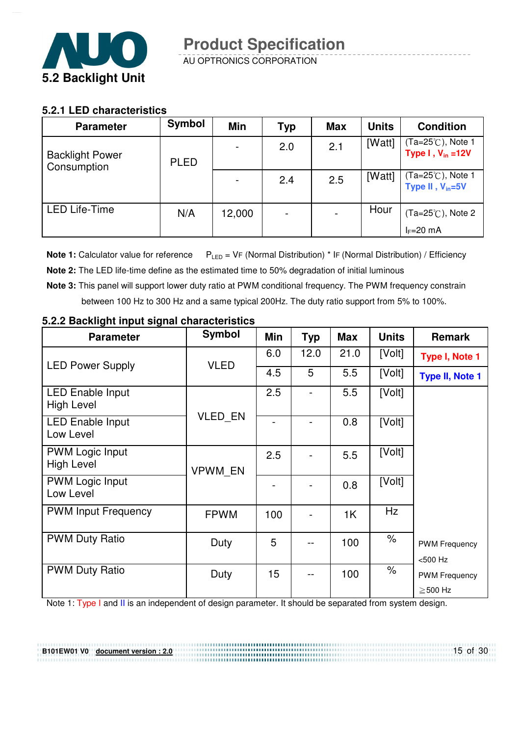

#### **5.2.1 LED characteristics**

| <b>Parameter</b>                      | Symbol      | Min    | Typ | <b>Max</b> | Units  | <b>Condition</b>                                                 |
|---------------------------------------|-------------|--------|-----|------------|--------|------------------------------------------------------------------|
| <b>Backlight Power</b><br>Consumption | <b>PLED</b> |        | 2.0 | 2.1        | [Watt] | (Ta=25℃), Note 1<br>Type $I, V_{in} = 12V$                       |
|                                       |             |        | 2.4 | 2.5        | [Watt] | $(Ta=25^\circ\text{C})$ , Note 1<br>Type II, V <sub>in</sub> =5V |
| <b>LED Life-Time</b>                  | N/A         | 12,000 |     |            | Hour   | $(Ta=25^{\circ}C)$ , Note 2                                      |
|                                       |             |        |     |            |        | $I_F=20$ mA                                                      |

**Note 1:** Calculator value for reference  $P_{LED} = VF$  (Normal Distribution) \* IF (Normal Distribution) / Efficiency

- **Note 2:** The LED life-time define as the estimated time to 50% degradation of initial luminous
- **Note 3:** This panel will support lower duty ratio at PWM conditional frequency. The PWM frequency constrain between 100 Hz to 300 Hz and a same typical 200Hz. The duty ratio support from 5% to 100%.

| <b>Parameter</b>                                                                                    | <b>Symbol</b>  | Min | <b>Typ</b>                           | <b>Max</b> | <b>Units</b>         | <b>Remark</b>                                  |
|-----------------------------------------------------------------------------------------------------|----------------|-----|--------------------------------------|------------|----------------------|------------------------------------------------|
| <b>LED Power Supply</b>                                                                             | <b>VLED</b>    | 6.0 | 12.0                                 | 21.0       | [Volt]               | Type I, Note 1                                 |
|                                                                                                     |                | 4.5 | 5                                    | 5.5        | [Volt]               | <b>Type II, Note 1</b>                         |
| <b>LED Enable Input</b><br><b>High Level</b>                                                        |                | 2.5 |                                      | 5.5        | [Volt]               |                                                |
| <b>LED Enable Input</b><br>Low Level                                                                | <b>VLED EN</b> |     |                                      | 0.8        | [Volt]               |                                                |
| <b>PWM Logic Input</b><br><b>High Level</b>                                                         | VPWM_EN        | 2.5 |                                      | 5.5        | [Volt]               |                                                |
| <b>PWM Logic Input</b><br>Low Level                                                                 |                |     |                                      | 0.8        | [Volt]               |                                                |
| <b>PWM Input Frequency</b>                                                                          | <b>FPWM</b>    | 100 |                                      | 1K         | <b>Hz</b>            |                                                |
| <b>PWM Duty Ratio</b>                                                                               | Duty           | 5   |                                      | 100        | $\frac{1}{\sqrt{2}}$ | <b>PWM Frequency</b><br>$<$ 500 Hz             |
| <b>PWM Duty Ratio</b>                                                                               | Duty           | 15  |                                      | 100        | $\frac{1}{\sqrt{2}}$ | <b>PWM Frequency</b>                           |
| <b>K</b> the transfer that the second that the contribution of the contribution of the contribution |                |     | والطارا والمستقط والمنافذة والمنافذة | 1.100      |                      | $\geq$ 500 Hz<br>$\mathbf{A}$ and $\mathbf{A}$ |

#### **5.2.2 Backlight input signal characteristics**

**B101EW01 V0 document version : 2.0**

Note 1: Type I and II is an independent of design parameter. It should be separated from system design.

..............................

15 of 30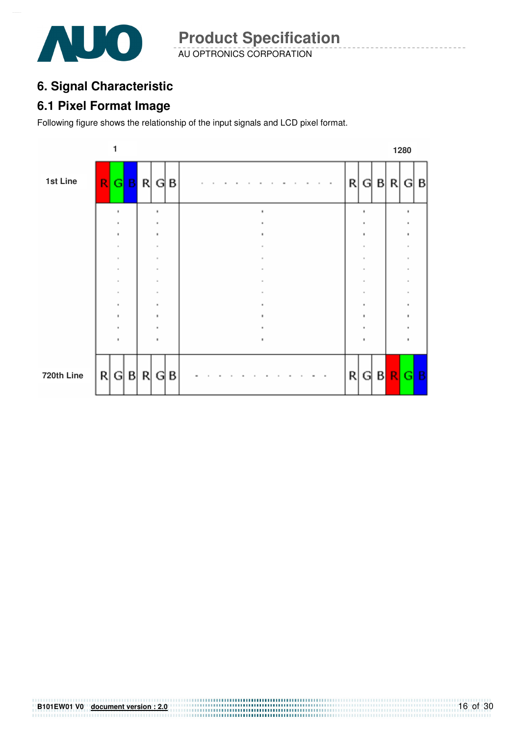

AU OPTRONICS CORPORATION **Product Specification** 

### **6. Signal Characteristic**

#### **6.1 Pixel Format Image**

Following figure shows the relationship of the input signals and LCD pixel format.



# **B101EW01 V0 document version : 2.0**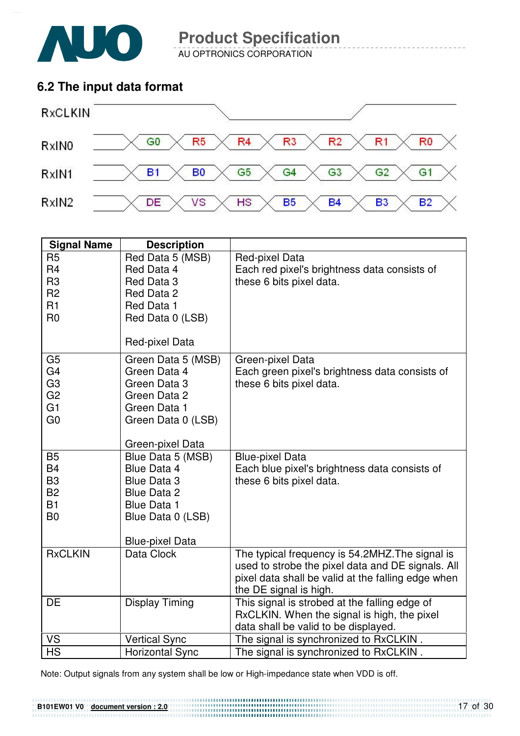

AU OPTRONICS CORPORATION

### **6.2 The input data format**



| <b>Signal Name</b>                                                                                       | <b>Description</b>                                                                                                             |                                                                                                                                                                                      |
|----------------------------------------------------------------------------------------------------------|--------------------------------------------------------------------------------------------------------------------------------|--------------------------------------------------------------------------------------------------------------------------------------------------------------------------------------|
| R <sub>5</sub><br>R <sub>4</sub><br>R <sub>3</sub>                                                       | Red Data 5 (MSB)<br>Red Data 4<br>Red Data 3                                                                                   | Red-pixel Data<br>Each red pixel's brightness data consists of<br>these 6 bits pixel data.                                                                                           |
| R <sub>2</sub>                                                                                           | Red Data 2                                                                                                                     |                                                                                                                                                                                      |
| R1<br>R <sub>0</sub>                                                                                     | Red Data 1<br>Red Data 0 (LSB)                                                                                                 |                                                                                                                                                                                      |
|                                                                                                          | Red-pixel Data                                                                                                                 |                                                                                                                                                                                      |
| G <sub>5</sub><br>G <sub>4</sub><br>G <sub>3</sub><br>G <sub>2</sub><br>G <sub>1</sub><br>G <sub>0</sub> | Green Data 5 (MSB)<br>Green Data 4<br>Green Data 3<br>Green Data 2<br>Green Data 1<br>Green Data 0 (LSB)                       | Green-pixel Data<br>Each green pixel's brightness data consists of<br>these 6 bits pixel data.                                                                                       |
|                                                                                                          | Green-pixel Data                                                                                                               |                                                                                                                                                                                      |
| <b>B5</b><br><b>B4</b><br>B <sub>3</sub><br><b>B2</b><br><b>B1</b><br>B <sub>0</sub>                     | Blue Data 5 (MSB)<br><b>Blue Data 4</b><br><b>Blue Data 3</b><br><b>Blue Data 2</b><br><b>Blue Data 1</b><br>Blue Data 0 (LSB) | <b>Blue-pixel Data</b><br>Each blue pixel's brightness data consists of<br>these 6 bits pixel data.                                                                                  |
|                                                                                                          | <b>Blue-pixel Data</b>                                                                                                         |                                                                                                                                                                                      |
| <b>RxCLKIN</b>                                                                                           | Data Clock                                                                                                                     | The typical frequency is 54.2MHZ. The signal is<br>used to strobe the pixel data and DE signals. All<br>pixel data shall be valid at the falling edge when<br>the DE signal is high. |
| DE                                                                                                       | <b>Display Timing</b>                                                                                                          | This signal is strobed at the falling edge of<br>RxCLKIN. When the signal is high, the pixel<br>data shall be valid to be displayed.                                                 |
| <b>VS</b>                                                                                                | <b>Vertical Sync</b>                                                                                                           | The signal is synchronized to RxCLKIN.                                                                                                                                               |
| <b>HS</b>                                                                                                | <b>Horizontal Sync</b>                                                                                                         | The signal is synchronized to RxCLKIN.                                                                                                                                               |

Note: Output signals from any system shall be low or High-impedance state when VDD is off.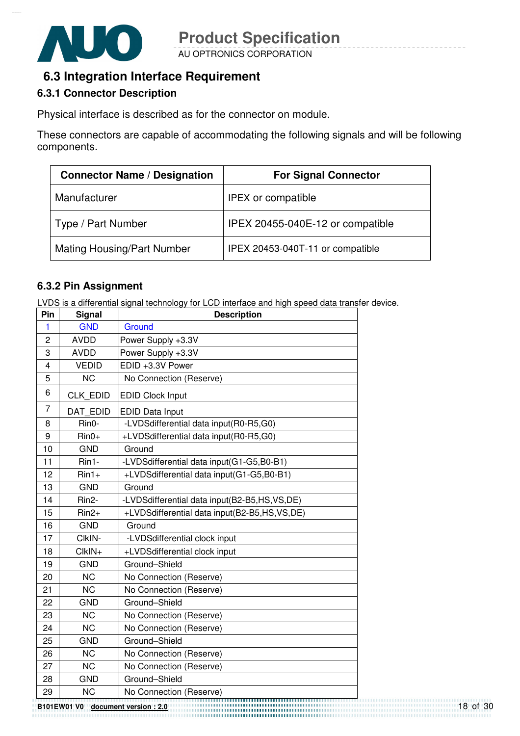

### **6.3 Integration Interface Requirement**

#### **6.3.1 Connector Description**

Physical interface is described as for the connector on module.

These connectors are capable of accommodating the following signals and will be following components.

| <b>Connector Name / Designation</b> | <b>For Signal Connector</b>      |
|-------------------------------------|----------------------------------|
| Manufacturer                        | <b>IPEX or compatible</b>        |
| Type / Part Number                  | IPEX 20455-040E-12 or compatible |
| <b>Mating Housing/Part Number</b>   | IPEX 20453-040T-11 or compatible |

#### **6.3.2 Pin Assignment**

LVDS is a differential signal technology for LCD interface and high speed data transfer device.

| Pin            | <b>Signal</b>      | <b>Description</b>                           |  |  |  |  |
|----------------|--------------------|----------------------------------------------|--|--|--|--|
| 1              | <b>GND</b>         | Ground                                       |  |  |  |  |
| $\overline{2}$ | <b>AVDD</b>        | Power Supply +3.3V                           |  |  |  |  |
| 3              | <b>AVDD</b>        | Power Supply +3.3V                           |  |  |  |  |
| $\overline{4}$ | <b>VEDID</b>       | EDID +3.3V Power                             |  |  |  |  |
| 5              | <b>NC</b>          | No Connection (Reserve)                      |  |  |  |  |
| 6              | CLK EDID           | <b>EDID Clock Input</b>                      |  |  |  |  |
| $\overline{7}$ | DAT EDID           | <b>EDID Data Input</b>                       |  |  |  |  |
| 8              | Rin0-              | -LVDSdifferential data input(R0-R5,G0)       |  |  |  |  |
| 9              | $Rin0+$            | +LVDSdifferential data input(R0-R5,G0)       |  |  |  |  |
| 10             | <b>GND</b>         | Ground                                       |  |  |  |  |
| 11             | Rin1-              | -LVDSdifferential data input(G1-G5,B0-B1)    |  |  |  |  |
| 12             | $Rin1+$            | +LVDSdifferential data input(G1-G5,B0-B1)    |  |  |  |  |
| 13             | <b>GND</b>         | Ground                                       |  |  |  |  |
| 14             | Rin <sub>2</sub> - | -LVDSdifferential data input(B2-B5,HS,VS,DE) |  |  |  |  |
| 15             | $Rin2+$            | +LVDSdifferential data input(B2-B5,HS,VS,DE) |  |  |  |  |
| 16             | <b>GND</b>         | Ground                                       |  |  |  |  |
| 17             | CIkIN-             | -LVDSdifferential clock input                |  |  |  |  |
| 18             | CIkIN+             | +LVDSdifferential clock input                |  |  |  |  |
| 19             | <b>GND</b>         | Ground-Shield                                |  |  |  |  |
| 20             | <b>NC</b>          | No Connection (Reserve)                      |  |  |  |  |
| 21             | <b>NC</b>          | No Connection (Reserve)                      |  |  |  |  |
| 22             | <b>GND</b>         | Ground-Shield                                |  |  |  |  |
| 23             | <b>NC</b>          | No Connection (Reserve)                      |  |  |  |  |
| 24             | <b>NC</b>          | No Connection (Reserve)                      |  |  |  |  |
| 25             | <b>GND</b>         | Ground-Shield                                |  |  |  |  |
| 26             | <b>NC</b>          | No Connection (Reserve)                      |  |  |  |  |
| 27             | <b>NC</b>          | No Connection (Reserve)                      |  |  |  |  |
| 28             | <b>GND</b>         | Ground-Shield                                |  |  |  |  |
| 29             | <b>NC</b>          | No Connection (Reserve)                      |  |  |  |  |
|                |                    | ,,,,,,,,,,,,,,,,,,,,,,,                      |  |  |  |  |

**B101EW01 V0 document version : 2.0**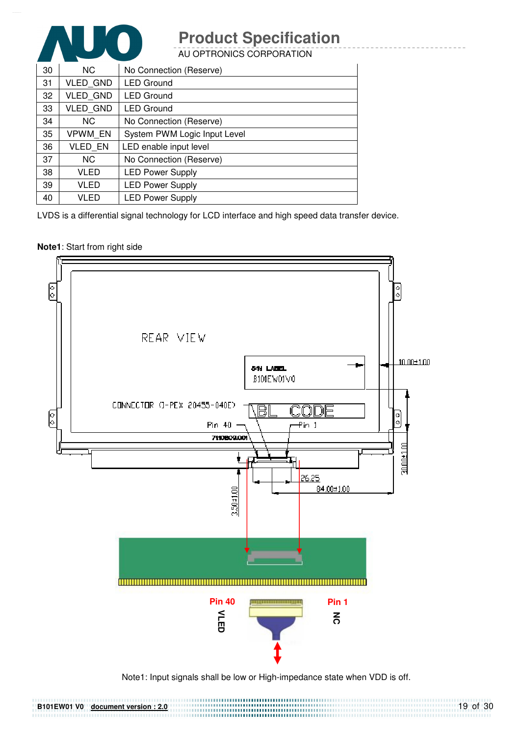

AU OPTRONICS CORPORATION

| 30 | NC.             | No Connection (Reserve)      |
|----|-----------------|------------------------------|
| 31 | <b>VLED GND</b> | <b>LED Ground</b>            |
| 32 | <b>VLED GND</b> | <b>LED Ground</b>            |
| 33 | <b>VLED GND</b> | <b>LED Ground</b>            |
| 34 | NC.             | No Connection (Reserve)      |
| 35 | <b>VPWM EN</b>  | System PWM Logic Input Level |
| 36 | <b>VLED EN</b>  | LED enable input level       |
| 37 | NC.             | No Connection (Reserve)      |
| 38 | VLED            | <b>LED Power Supply</b>      |
| 39 | VLED            | <b>LED Power Supply</b>      |
| 40 | VLED            | <b>LED Power Supply</b>      |

LVDS is a differential signal technology for LCD interface and high speed data transfer device.

#### **Note1**: Start from right side

**B101EW01 V0 document version : 2.0**



Note1: Input signals shall be low or High-impedance state when VDD is off.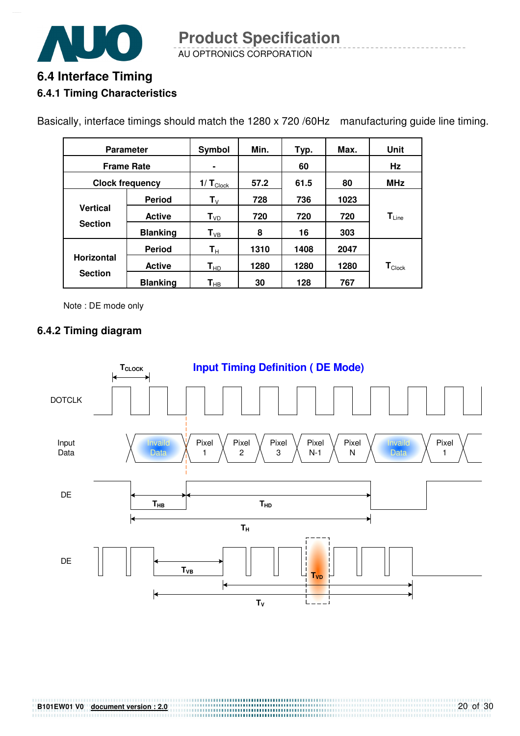

AU OPTRONICS CORPORATION **Product Specification** 

# **6.4 Interface Timing 6.4.1 Timing Characteristics**

Basically, interface timings should match the 1280 x 720 /60Hz manufacturing guide line timing.

| <b>Parameter</b>  |                        | Symbol                     | Min. | Typ. | Max. | Unit                          |
|-------------------|------------------------|----------------------------|------|------|------|-------------------------------|
| <b>Frame Rate</b> |                        |                            |      | 60   |      | Hz                            |
|                   | <b>Clock frequency</b> |                            | 57.2 | 61.5 | 80   | <b>MHz</b>                    |
|                   | <b>Period</b>          | $T_{V}$                    | 728  | 736  | 1023 |                               |
| <b>Vertical</b>   | <b>Active</b>          | $T_{VD}$                   | 720  | 720  | 720  | $T_{Line}$                    |
| <b>Section</b>    | <b>Blanking</b>        | $T_{VB}$                   | 8    | 16   | 303  |                               |
|                   | <b>Period</b>          | $\mathbf{T}_{\rm H}$       | 1310 | 1408 | 2047 |                               |
| <b>Horizontal</b> | <b>Active</b>          | $\mathsf{T}_{\mathsf{HD}}$ | 1280 | 1280 | 1280 | $\mathbf{T}_{\textsf{Clock}}$ |
| <b>Section</b>    | <b>Blanking</b>        | $\mathbf{T}_{\mathsf{HB}}$ | 30   | 128  | 767  |                               |

Note : DE mode only

#### **6.4.2 Timing diagram**

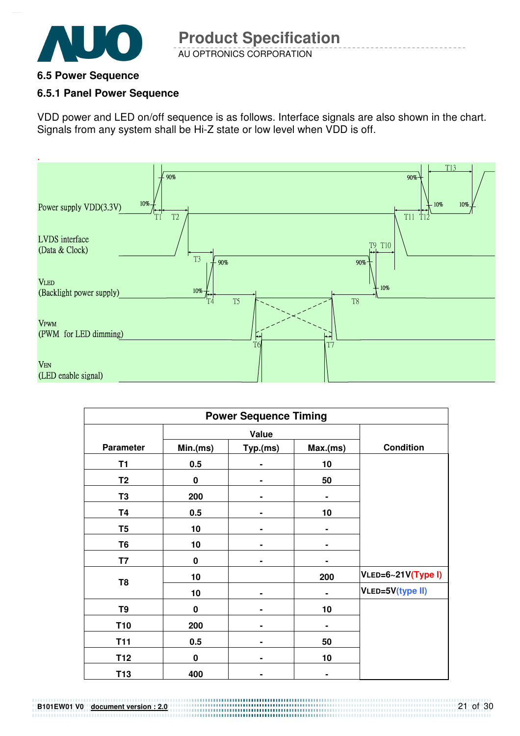

#### **6.5 Power Sequence**

#### **6.5.1 Panel Power Sequence**

VDD power and LED on/off sequence is as follows. Interface signals are also shown in the chart. Signals from any system shall be Hi-Z state or low level when VDD is off.



| <b>Power Sequence Timing</b> |             |          |         |                    |  |  |
|------------------------------|-------------|----------|---------|--------------------|--|--|
|                              |             |          |         |                    |  |  |
| <b>Parameter</b>             | Min.(ms)    | Typ.(ms) | Max(ms) | <b>Condition</b>   |  |  |
| T <sub>1</sub>               | 0.5         |          | 10      |                    |  |  |
| T <sub>2</sub>               | $\mathbf 0$ |          | 50      |                    |  |  |
| T <sub>3</sub>               | 200         |          |         |                    |  |  |
| <b>T4</b>                    | 0.5         |          | 10      |                    |  |  |
| T <sub>5</sub>               | 10          |          |         |                    |  |  |
| T <sub>6</sub>               | 10          |          |         |                    |  |  |
| T7                           | $\bf{0}$    |          |         |                    |  |  |
|                              | 10          |          | 200     | VLED=6~21V(Type I) |  |  |
| T <sub>8</sub>               | 10          |          |         | VLED=5V(type II)   |  |  |
| T9                           | $\bf{0}$    |          | 10      |                    |  |  |
| T <sub>10</sub>              | 200         | ٠        | ۰       |                    |  |  |
| <b>T11</b>                   | 0.5         | ۰        | 50      |                    |  |  |
| T <sub>12</sub>              | $\mathbf 0$ |          | 10      |                    |  |  |
| T <sub>13</sub>              | 400         |          |         |                    |  |  |

**B101EW01 V0 document version : 2.0**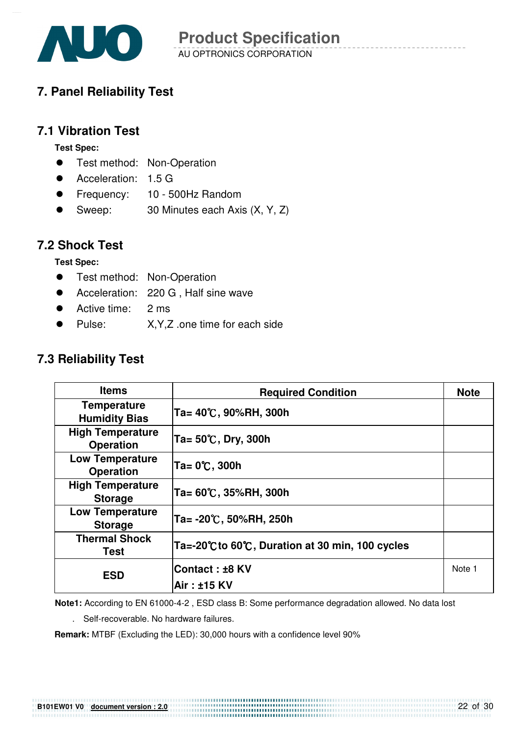

### **7. Panel Reliability Test**

### **7.1 Vibration Test**

**Test Spec:** 

- **•** Test method: Non-Operation
- Acceleration: 1.5 G
- Frequency: 10 500Hz Random
- Sweep: 30 Minutes each Axis (X, Y, Z)

#### **7.2 Shock Test**

**Test Spec:** 

- **•** Test method: Non-Operation
- Acceleration: 220 G, Half sine wave
- Active time: 2 ms
- Pulse: X,Y,Z .one time for each side

### **7.3 Reliability Test**

| <b>Items</b>                                | <b>Required Condition</b>                     | <b>Note</b> |
|---------------------------------------------|-----------------------------------------------|-------------|
| <b>Temperature</b><br><b>Humidity Bias</b>  | Ta= 40℃, 90%RH, 300h                          |             |
| <b>High Temperature</b><br><b>Operation</b> | Ta= 50℃, Dry, 300h                            |             |
| <b>Low Temperature</b><br><b>Operation</b>  | Ta= 0℃, 300h                                  |             |
| <b>High Temperature</b><br><b>Storage</b>   | Ta= 60℃, 35%RH, 300h                          |             |
| <b>Low Temperature</b><br><b>Storage</b>    | Ta= -20℃, 50%RH, 250h                         |             |
| <b>Thermal Shock</b><br>Test                | Ta=-20℃to 60℃, Duration at 30 min, 100 cycles |             |
| <b>ESD</b>                                  | Contact : ±8 KV                               | Note 1      |
|                                             | Air: ±15 KV                                   |             |

**Note1:** According to EN 61000-4-2 , ESD class B: Some performance degradation allowed. No data lost

. Self-recoverable. No hardware failures.

**Remark:** MTBF (Excluding the LED): 30,000 hours with a confidence level 90%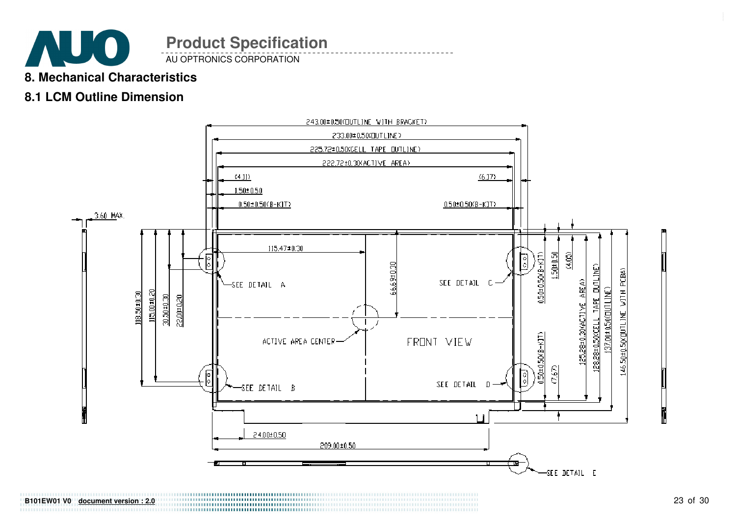

**B101EW01 V0 document version : 2.0**

AU OPTRONICS CORPORATION

### **8. Mechanical Characteristics**

### **8.1 LCM Outline Dimension**

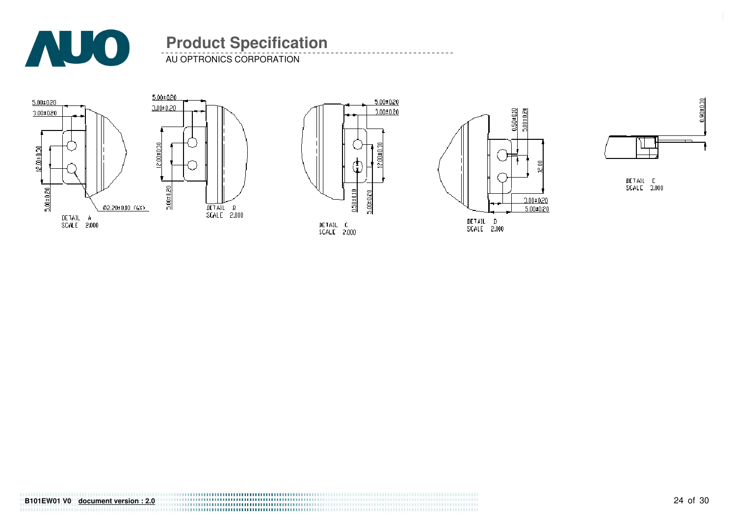

AU OPTRONICS CORPORATION









DETAIL E<br>SCALE 3.000

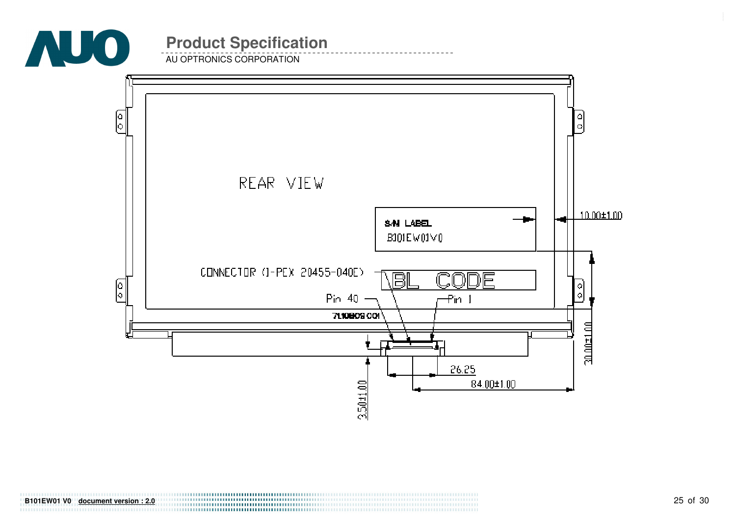

**B101EW01 V0 document version : 2.0**

AU OPTRONICS CORPORATION

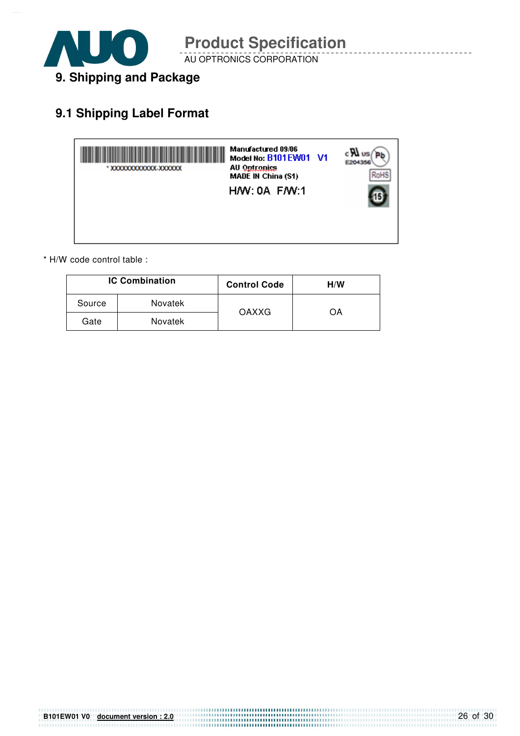

AU OPTRONICS CORPORATION

### **9.1 Shipping Label Format**



\* H/W code control table :

| <b>IC Combination</b> |                | <b>Control Code</b> | H/W |
|-----------------------|----------------|---------------------|-----|
| Source                | Novatek        | OAXXG               | OΑ  |
| Gate                  | <b>Novatek</b> |                     |     |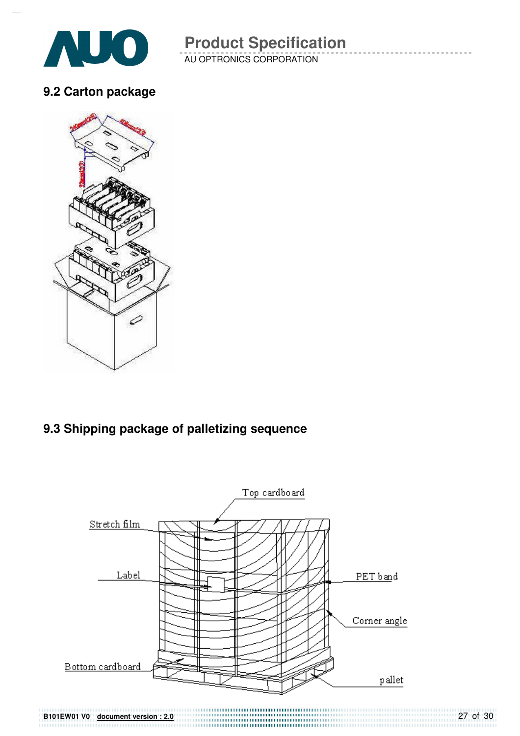

AU OPTRONICS CORPORATION

### **9.2 Carton package**



### **9.3 Shipping package of palletizing sequence**



27 of 30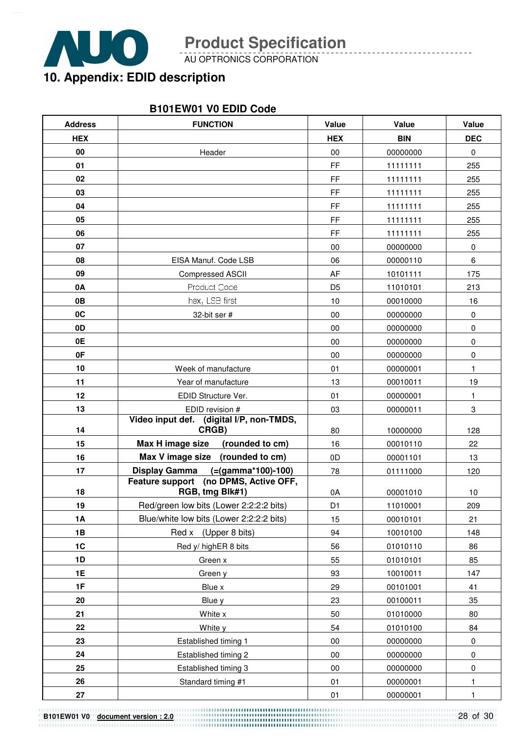

AU OPTRONICS CORPORATION

# **10. Appendix: EDID description**

#### **B101EW01 V0 EDID Code**

| <b>Address</b> | <b>FUNCTION</b>                                          | Value          | Value      | Value       |
|----------------|----------------------------------------------------------|----------------|------------|-------------|
| <b>HEX</b>     |                                                          | <b>HEX</b>     | <b>BIN</b> | <b>DEC</b>  |
| 00             | Header                                                   | $00\,$         | 00000000   | $\mathbf 0$ |
| 01             |                                                          | FF             | 11111111   | 255         |
| 02             |                                                          | <b>FF</b>      | 11111111   | 255         |
| 03             |                                                          | <b>FF</b>      | 11111111   | 255         |
| 04             |                                                          | FF             | 11111111   | 255         |
| 05             |                                                          | <b>FF</b>      | 11111111   | 255         |
| 06             |                                                          | <b>FF</b>      | 11111111   | 255         |
| 07             |                                                          | 00             | 00000000   | $\pmb{0}$   |
| 08             | EISA Manuf. Code LSB                                     | 06             | 00000110   | 6           |
| 09             | <b>Compressed ASCII</b>                                  | AF             | 10101111   | 175         |
| 0A             | Product Code                                             | D <sub>5</sub> | 11010101   | 213         |
| 0B             | hex, LSB first                                           | $10$           | 00010000   | 16          |
| 0C             | 32-bit ser #                                             | 00             | 00000000   | $\pmb{0}$   |
| 0 <sub>D</sub> |                                                          | 00             | 00000000   | $\pmb{0}$   |
| 0E             |                                                          | 00             | 00000000   | $\pmb{0}$   |
| 0F             |                                                          | 00             | 00000000   | 0           |
| 10             | Week of manufacture                                      | 01             | 00000001   | 1           |
| 11             | Year of manufacture                                      | 13             | 00010011   | 19          |
| 12             | EDID Structure Ver.                                      | 01             | 00000001   | 1           |
| 13             | EDID revision #                                          | 03             | 00000011   | 3           |
| 14             | Video input def. (digital I/P, non-TMDS,<br>CRGB)        | 80             | 10000000   | 128         |
| 15             | Max H image size<br>(rounded to cm)                      | 16             | 00010110   | 22          |
| 16             | Max V image size (rounded to cm)                         | 0D             | 00001101   | 13          |
| 17             | <b>Display Gamma</b><br>(=(gamma*100)-100)               | 78             | 01111000   | 120         |
| 18             | Feature support (no DPMS, Active OFF,<br>RGB, tmg Blk#1) | 0A             | 00001010   | 10          |
| 19             | Red/green low bits (Lower 2:2:2:2 bits)                  | D <sub>1</sub> | 11010001   | 209         |
| <b>1A</b>      | Blue/white low bits (Lower 2:2:2:2 bits)                 | 15             | 00010101   | 21          |
| 1B             | Red x (Upper 8 bits)                                     | 94             | 10010100   | 148         |
| 1C             | Red y/ highER 8 bits                                     | 56             | 01010110   | 86          |
| 1D             | Green x                                                  | 55             | 01010101   | 85          |
| <b>1E</b>      | Green y                                                  | 93             | 10010011   | 147         |
| 1F             | Blue x                                                   | 29             | 00101001   | 41          |
| 20             | Blue y                                                   | 23             | 00100011   | 35          |
| 21             | White x                                                  | 50             | 01010000   | 80          |
| 22             | White y                                                  | 54             | 01010100   | 84          |
| 23             | Established timing 1                                     | $00\,$         | 00000000   | $\pmb{0}$   |
| 24             | Established timing 2                                     | $00\,$         | 00000000   | $\pmb{0}$   |
| 25             | Established timing 3                                     | $00\,$         | 00000000   | $\pmb{0}$   |
| 26             | Standard timing #1                                       | 01             | 00000001   | 1           |
| ${\bf 27}$     |                                                          | 01             | 00000001   | 1           |

**B101EW01 V0 document version : 2.0**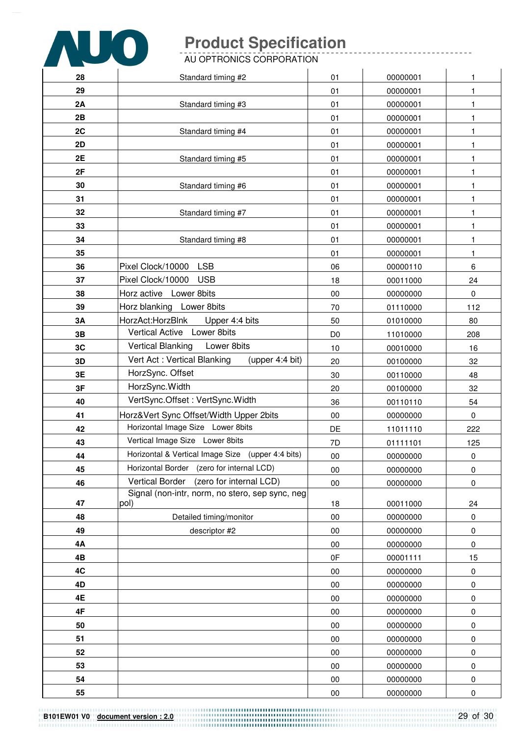

AU OPTRONICS CORPORATION

| 28 | Standard timing #2                                | 01             | 00000001 | 1           |
|----|---------------------------------------------------|----------------|----------|-------------|
| 29 |                                                   | 01             | 00000001 | 1           |
| 2A | Standard timing #3                                | 01             | 00000001 | 1           |
| 2B |                                                   | 01             | 00000001 | 1           |
| 2C | Standard timing #4                                | 01             | 00000001 | 1           |
| 2D |                                                   | 01             | 00000001 | 1           |
| 2E | Standard timing #5                                | 01             | 00000001 | 1           |
| 2F |                                                   | 01             | 00000001 | 1           |
| 30 | Standard timing #6                                | 01             | 00000001 | 1           |
| 31 |                                                   | 01             | 00000001 | 1           |
| 32 | Standard timing #7                                | 01             | 00000001 | 1           |
| 33 |                                                   | 01             | 00000001 | 1           |
| 34 | Standard timing #8                                | 01             | 00000001 | 1           |
| 35 |                                                   | 01             | 00000001 | 1           |
| 36 | <b>LSB</b><br>Pixel Clock/10000                   | 06             | 00000110 | 6           |
| 37 | Pixel Clock/10000 USB                             | 18             | 00011000 | 24          |
| 38 | Horz active Lower 8bits                           | 00             | 00000000 | $\mathbf 0$ |
| 39 | Horz blanking Lower 8bits                         | 70             | 01110000 | 112         |
| 3A | HorzAct:HorzBlnk<br>Upper 4:4 bits                | 50             | 01010000 | 80          |
| 3B | Vertical Active Lower 8bits                       | D <sub>0</sub> | 11010000 | 208         |
| 3C | <b>Vertical Blanking</b><br>Lower 8bits           | 10             | 00010000 | 16          |
| 3D | Vert Act: Vertical Blanking<br>(upper 4:4 bit)    | 20             | 00100000 | 32          |
| 3E | HorzSync. Offset                                  | 30             | 00110000 | 48          |
| 3F | HorzSync. Width                                   | 20             | 00100000 | 32          |
| 40 | VertSync.Offset: VertSync.Width                   | 36             | 00110110 | 54          |
| 41 | Horz‖ Sync Offset/Width Upper 2bits               | 00             | 00000000 | $\mathbf 0$ |
| 42 | Horizontal Image Size Lower 8bits                 | DE             | 11011110 | 222         |
| 43 | Vertical Image Size Lower 8bits                   | 7D             | 01111101 | 125         |
| 44 | Horizontal & Vertical Image Size (upper 4:4 bits) | 00             | 00000000 | 0           |
| 45 | Horizontal Border (zero for internal LCD)         | 00             | 00000000 | $\pmb{0}$   |
| 46 | (zero for internal LCD)<br><b>Vertical Border</b> | $00\,$         | 00000000 | $\pmb{0}$   |
|    | Signal (non-intr, norm, no stero, sep sync, neg   |                |          |             |
| 47 | pol)                                              | 18             | 00011000 | 24          |
| 48 | Detailed timing/monitor                           | $00\,$         | 00000000 | 0           |
| 49 | descriptor #2                                     | $00\,$         | 00000000 | $\pmb{0}$   |
| 4Α |                                                   | 00             | 00000000 | $\pmb{0}$   |
| 4B |                                                   | 0F             | 00001111 | 15          |
| 4C |                                                   | $00\,$         | 00000000 | $\pmb{0}$   |
| 4D |                                                   | $00\,$         | 00000000 | $\pmb{0}$   |
| 4E |                                                   | $00\,$         | 00000000 | $\pmb{0}$   |
| 4F |                                                   | 00             | 00000000 | $\pmb{0}$   |
| 50 |                                                   | 00             | 00000000 | $\pmb{0}$   |
| 51 |                                                   | $00\,$         | 00000000 | $\pmb{0}$   |
| 52 |                                                   | $00\,$         | 00000000 | $\pmb{0}$   |
| 53 |                                                   | 00             | 00000000 | $\pmb{0}$   |
| 54 |                                                   | $00\,$         | 00000000 | $\pmb{0}$   |
| 55 |                                                   | $00\,$         | 00000000 | $\pmb{0}$   |